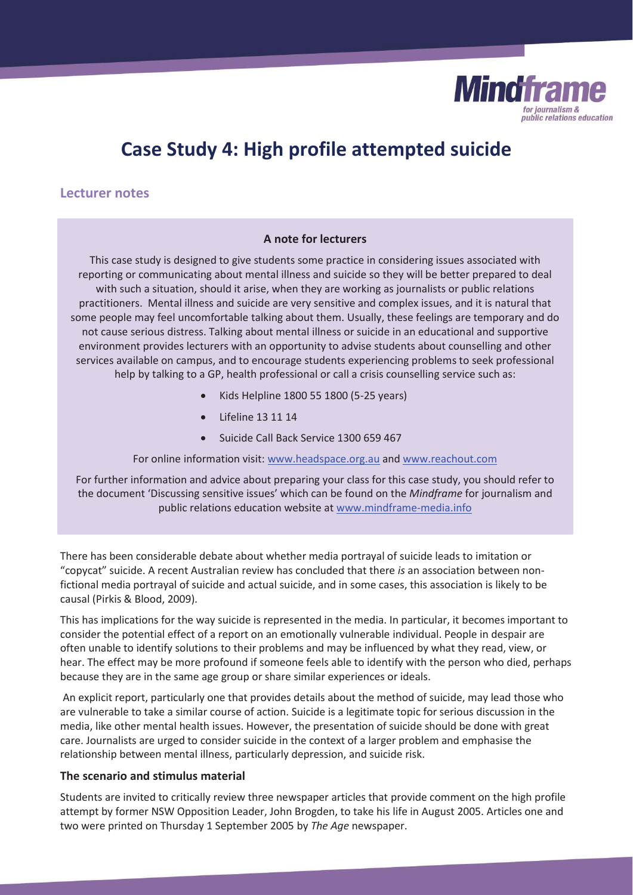

# **Case Study 4: High profile attempted suicide**

## **Lecturer notes**

#### **A note for lecturers**

This case study is designed to give students some practice in considering issues associated with reporting or communicating about mental illness and suicide so they will be better prepared to deal with such a situation, should it arise, when they are working as journalists or public relations practitioners. Mental illness and suicide are very sensitive and complex issues, and it is natural that some people may feel uncomfortable talking about them. Usually, these feelings are temporary and do not cause serious distress. Talking about mental illness or suicide in an educational and supportive environment provides lecturers with an opportunity to advise students about counselling and other services available on campus, and to encourage students experiencing problems to seek professional help by talking to a GP, health professional or call a crisis counselling service such as:

- x Kids Helpline 1800 55 1800 (5-25 years)
- Lifeline 13 11 14
- Suicide Call Back Service 1300 659 467

#### For online information visit: www.headspace.org.au and www.reachout.com

For further information and advice about preparing your class for this case study, you should refer to the document 'Discussing sensitive issues' which can be found on the *Mindframe* for journalism and public relations education website at www.mindframe-media.info

There has been considerable debate about whether media portrayal of suicide leads to imitation or "copycat" suicide. A recent Australian review has concluded that there *is* an association between nonfictional media portrayal of suicide and actual suicide, and in some cases, this association is likely to be causal (Pirkis & Blood, 2009)*.* 

This has implications for the way suicide is represented in the media. In particular, it becomes important to consider the potential effect of a report on an emotionally vulnerable individual. People in despair are often unable to identify solutions to their problems and may be influenced by what they read, view, or hear. The effect may be more profound if someone feels able to identify with the person who died, perhaps because they are in the same age group or share similar experiences or ideals.

 An explicit report, particularly one that provides details about the method of suicide, may lead those who are vulnerable to take a similar course of action. Suicide is a legitimate topic for serious discussion in the media, like other mental health issues. However, the presentation of suicide should be done with great care. Journalists are urged to consider suicide in the context of a larger problem and emphasise the relationship between mental illness, particularly depression, and suicide risk.

#### **The scenario and stimulus material**

Students are invited to critically review three newspaper articles that provide comment on the high profile attempt by former NSW Opposition Leader, John Brogden, to take his life in August 2005. Articles one and two were printed on Thursday 1 September 2005 by *The Age* newspaper.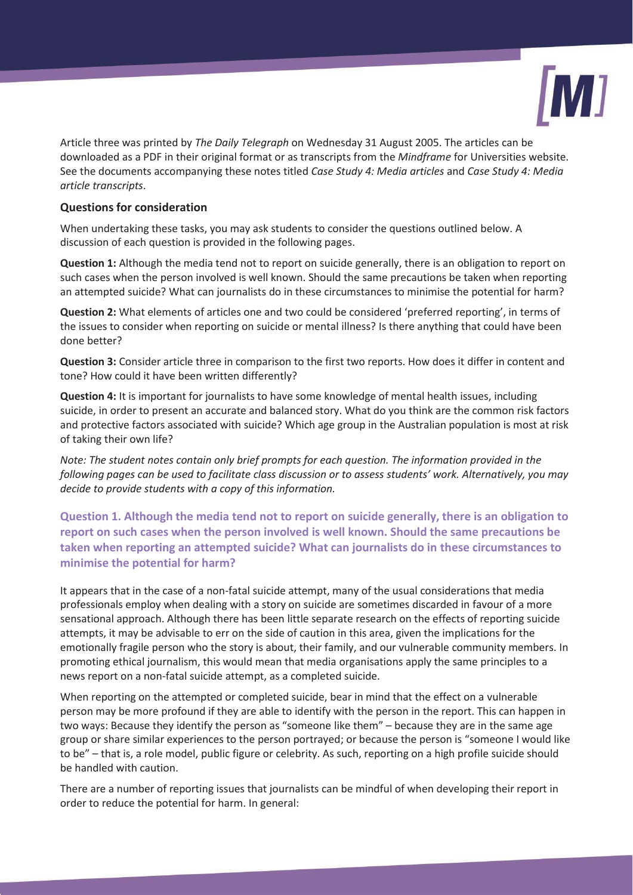

Article three was printed by *The Daily Telegraph* on Wednesday 31 August 2005. The articles can be downloaded as a PDF in their original format or as transcripts from the *Mindframe* for Universities website. See the documents accompanying these notes titled *Case Study 4: Media articles* and *Case Study 4: Media article transcripts*.

### **Questions for consideration**

When undertaking these tasks, you may ask students to consider the questions outlined below. A discussion of each question is provided in the following pages.

**Question 1:** Although the media tend not to report on suicide generally, there is an obligation to report on such cases when the person involved is well known. Should the same precautions be taken when reporting an attempted suicide? What can journalists do in these circumstances to minimise the potential for harm?

**Question 2:** What elements of articles one and two could be considered 'preferred reporting', in terms of the issues to consider when reporting on suicide or mental illness? Is there anything that could have been done better?

**Question 3:** Consider article three in comparison to the first two reports. How does it differ in content and tone? How could it have been written differently?

**Question 4:** It is important for journalists to have some knowledge of mental health issues, including suicide, in order to present an accurate and balanced story. What do you think are the common risk factors and protective factors associated with suicide? Which age group in the Australian population is most at risk of taking their own life?

*Note: The student notes contain only brief prompts for each question. The information provided in the following pages can be used to facilitate class discussion or to assess students' work. Alternatively, you may decide to provide students with a copy of this information.*

**Question 1. Although the media tend not to report on suicide generally, there is an obligation to report on such cases when the person involved is well known. Should the same precautions be taken when reporting an attempted suicide? What can journalists do in these circumstances to minimise the potential for harm?**

It appears that in the case of a non-fatal suicide attempt, many of the usual considerations that media professionals employ when dealing with a story on suicide are sometimes discarded in favour of a more sensational approach. Although there has been little separate research on the effects of reporting suicide attempts, it may be advisable to err on the side of caution in this area, given the implications for the emotionally fragile person who the story is about, their family, and our vulnerable community members. In promoting ethical journalism, this would mean that media organisations apply the same principles to a news report on a non-fatal suicide attempt, as a completed suicide.

When reporting on the attempted or completed suicide, bear in mind that the effect on a vulnerable person may be more profound if they are able to identify with the person in the report. This can happen in two ways: Because they identify the person as "someone like them" – because they are in the same age group or share similar experiences to the person portrayed; or because the person is "someone I would like to be" – that is, a role model, public figure or celebrity. As such, reporting on a high profile suicide should be handled with caution.

There are a number of reporting issues that journalists can be mindful of when developing their report in order to reduce the potential for harm. In general: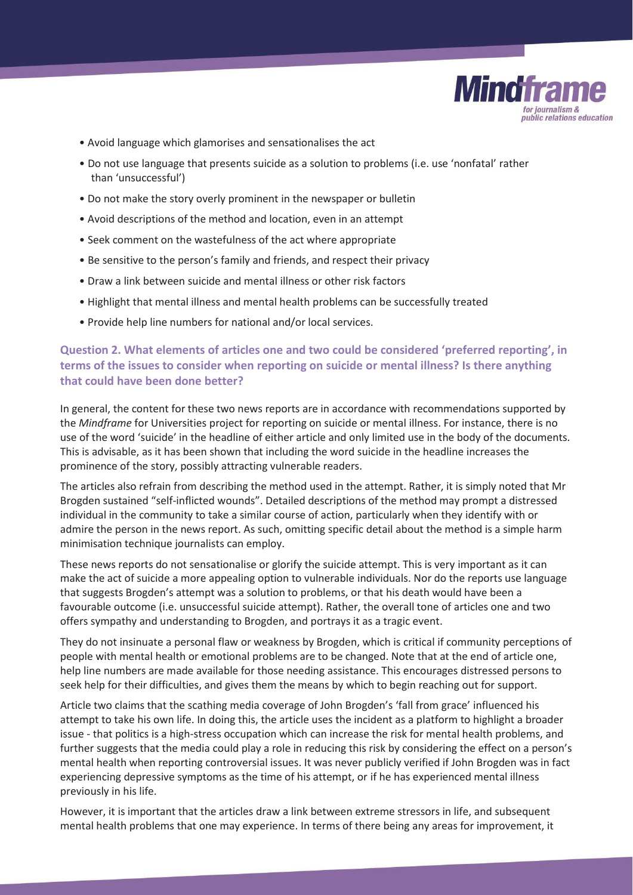

- Avoid language which glamorises and sensationalises the act
- Do not use language that presents suicide as a solution to problems (i.e. use 'nonfatal' rather than 'unsuccessful')
- Do not make the story overly prominent in the newspaper or bulletin
- Avoid descriptions of the method and location, even in an attempt
- Seek comment on the wastefulness of the act where appropriate
- Be sensitive to the person's family and friends, and respect their privacy
- Draw a link between suicide and mental illness or other risk factors
- Highlight that mental illness and mental health problems can be successfully treated
- Provide help line numbers for national and/or local services.

## **Question 2. What elements of articles one and two could be considered 'preferred reporting', in terms of the issues to consider when reporting on suicide or mental illness? Is there anything that could have been done better?**

In general, the content for these two news reports are in accordance with recommendations supported by the *Mindframe* for Universities project for reporting on suicide or mental illness. For instance, there is no use of the word 'suicide' in the headline of either article and only limited use in the body of the documents. This is advisable, as it has been shown that including the word suicide in the headline increases the prominence of the story, possibly attracting vulnerable readers.

The articles also refrain from describing the method used in the attempt. Rather, it is simply noted that Mr Brogden sustained "self-inflicted wounds". Detailed descriptions of the method may prompt a distressed individual in the community to take a similar course of action, particularly when they identify with or admire the person in the news report. As such, omitting specific detail about the method is a simple harm minimisation technique journalists can employ.

These news reports do not sensationalise or glorify the suicide attempt. This is very important as it can make the act of suicide a more appealing option to vulnerable individuals. Nor do the reports use language that suggests Brogden's attempt was a solution to problems, or that his death would have been a favourable outcome (i.e. unsuccessful suicide attempt). Rather, the overall tone of articles one and two offers sympathy and understanding to Brogden, and portrays it as a tragic event.

They do not insinuate a personal flaw or weakness by Brogden, which is critical if community perceptions of people with mental health or emotional problems are to be changed. Note that at the end of article one, help line numbers are made available for those needing assistance. This encourages distressed persons to seek help for their difficulties, and gives them the means by which to begin reaching out for support.

Article two claims that the scathing media coverage of John Brogden's 'fall from grace' influenced his attempt to take his own life. In doing this, the article uses the incident as a platform to highlight a broader issue - that politics is a high-stress occupation which can increase the risk for mental health problems, and further suggests that the media could play a role in reducing this risk by considering the effect on a person's mental health when reporting controversial issues. It was never publicly verified if John Brogden was in fact experiencing depressive symptoms as the time of his attempt, or if he has experienced mental illness previously in his life.

However, it is important that the articles draw a link between extreme stressors in life, and subsequent mental health problems that one may experience. In terms of there being any areas for improvement, it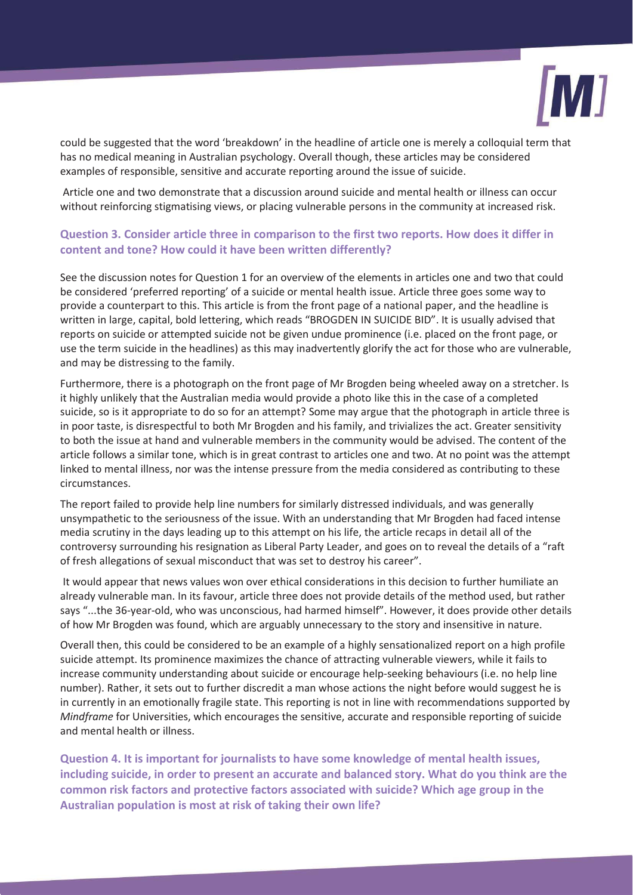

could be suggested that the word 'breakdown' in the headline of article one is merely a colloquial term that has no medical meaning in Australian psychology. Overall though, these articles may be considered examples of responsible, sensitive and accurate reporting around the issue of suicide.

 Article one and two demonstrate that a discussion around suicide and mental health or illness can occur without reinforcing stigmatising views, or placing vulnerable persons in the community at increased risk.

## **Question 3. Consider article three in comparison to the first two reports. How does it differ in content and tone? How could it have been written differently?**

See the discussion notes for Question 1 for an overview of the elements in articles one and two that could be considered 'preferred reporting' of a suicide or mental health issue. Article three goes some way to provide a counterpart to this. This article is from the front page of a national paper, and the headline is written in large, capital, bold lettering, which reads "BROGDEN IN SUICIDE BID". It is usually advised that reports on suicide or attempted suicide not be given undue prominence (i.e. placed on the front page, or use the term suicide in the headlines) as this may inadvertently glorify the act for those who are vulnerable, and may be distressing to the family.

Furthermore, there is a photograph on the front page of Mr Brogden being wheeled away on a stretcher. Is it highly unlikely that the Australian media would provide a photo like this in the case of a completed suicide, so is it appropriate to do so for an attempt? Some may argue that the photograph in article three is in poor taste, is disrespectful to both Mr Brogden and his family, and trivializes the act. Greater sensitivity to both the issue at hand and vulnerable members in the community would be advised. The content of the article follows a similar tone, which is in great contrast to articles one and two. At no point was the attempt linked to mental illness, nor was the intense pressure from the media considered as contributing to these circumstances.

The report failed to provide help line numbers for similarly distressed individuals, and was generally unsympathetic to the seriousness of the issue. With an understanding that Mr Brogden had faced intense media scrutiny in the days leading up to this attempt on his life, the article recaps in detail all of the controversy surrounding his resignation as Liberal Party Leader, and goes on to reveal the details of a "raft of fresh allegations of sexual misconduct that was set to destroy his career".

 It would appear that news values won over ethical considerations in this decision to further humiliate an already vulnerable man. In its favour, article three does not provide details of the method used, but rather says "...the 36-year-old, who was unconscious, had harmed himself". However, it does provide other details of how Mr Brogden was found, which are arguably unnecessary to the story and insensitive in nature.

Overall then, this could be considered to be an example of a highly sensationalized report on a high profile suicide attempt. Its prominence maximizes the chance of attracting vulnerable viewers, while it fails to increase community understanding about suicide or encourage help-seeking behaviours (i.e. no help line number). Rather, it sets out to further discredit a man whose actions the night before would suggest he is in currently in an emotionally fragile state. This reporting is not in line with recommendations supported by *Mindframe* for Universities, which encourages the sensitive, accurate and responsible reporting of suicide and mental health or illness.

**Question 4. It is important for journalists to have some knowledge of mental health issues, including suicide, in order to present an accurate and balanced story. What do you think are the common risk factors and protective factors associated with suicide? Which age group in the Australian population is most at risk of taking their own life?**